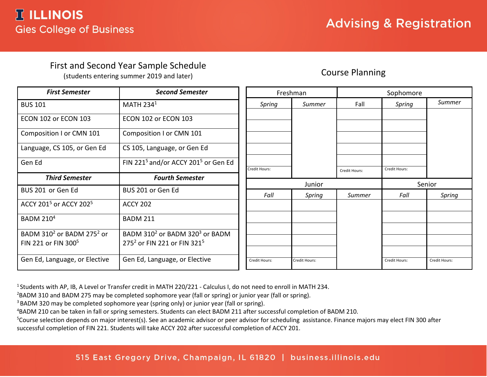## First and Second Year Sample Schedule

(students entering summer 2019 and later)

## Course Planning

| <b>First Semester</b>                             | <b>Second Semester</b>                                      |                      | Freshman      | Sophomore     |               |               |  |
|---------------------------------------------------|-------------------------------------------------------------|----------------------|---------------|---------------|---------------|---------------|--|
| <b>BUS 101</b>                                    | MATH $2341$                                                 | Spring               | Summer        | Fall          | Spring        | Summer        |  |
| ECON 102 or ECON 103                              | ECON 102 or ECON 103                                        |                      |               |               |               |               |  |
| Composition I or CMN 101                          | Composition I or CMN 101                                    |                      |               |               |               |               |  |
| Language, CS 105, or Gen Ed                       | CS 105, Language, or Gen Ed                                 |                      |               |               |               |               |  |
| Gen Ed                                            | FIN 221 <sup>5</sup> and/or ACCY 201 <sup>5</sup> or Gen Ed | <b>Credit Hours:</b> |               | Credit Hours: | Credit Hours: |               |  |
| <b>Third Semester</b>                             | <b>Fourth Semester</b>                                      |                      |               |               |               |               |  |
|                                                   |                                                             | Junior               |               |               | Senior        |               |  |
| BUS 201 or Gen Ed                                 | BUS 201 or Gen Ed                                           | Fall                 | Spring        | Summer        | Fall          | Spring        |  |
| ACCY 201 <sup>5</sup> or ACCY 202 <sup>5</sup>    | <b>ACCY 202</b>                                             |                      |               |               |               |               |  |
| <b>BADM 210<sup>4</sup></b>                       | <b>BADM 211</b>                                             |                      |               |               |               |               |  |
| BADM 310 <sup>2</sup> or BADM 275 <sup>2</sup> or | BADM 310 <sup>2</sup> or BADM 320 <sup>3</sup> or BADM      |                      |               |               |               |               |  |
| FIN 221 or FIN 300 <sup>5</sup>                   | 275 <sup>2</sup> or FIN 221 or FIN 321 <sup>5</sup>         |                      |               |               |               |               |  |
|                                                   |                                                             |                      |               |               |               |               |  |
| Gen Ed, Language, or Elective                     | Gen Ed, Language, or Elective                               | Credit Hours:        | Credit Hours: |               | Credit Hours: | Credit Hours: |  |

<sup>1</sup> Students with AP, IB, A Level or Transfer credit in MATH 220/221 - Calculus I, do not need to enroll in MATH 234.

<sup>2</sup>BADM 310 and BADM 275 may be completed sophomore year (fall or spring) or junior year (fall or spring).

<sup>3</sup> BADM 320 may be completed sophomore year (spring only) or junior year (fall or spring).

4 BADM 210 can be taken in fall or spring semesters. Students can elect BADM 211 after successful completion of BADM 210.

<sup>5</sup>Course selection depends on major interest(s). See an academic advisor or peer advisor for scheduling assistance. Finance majors may elect FIN 300 after successful completion of FIN 221. Students will take ACCY 202 after successful completion of ACCY 201.